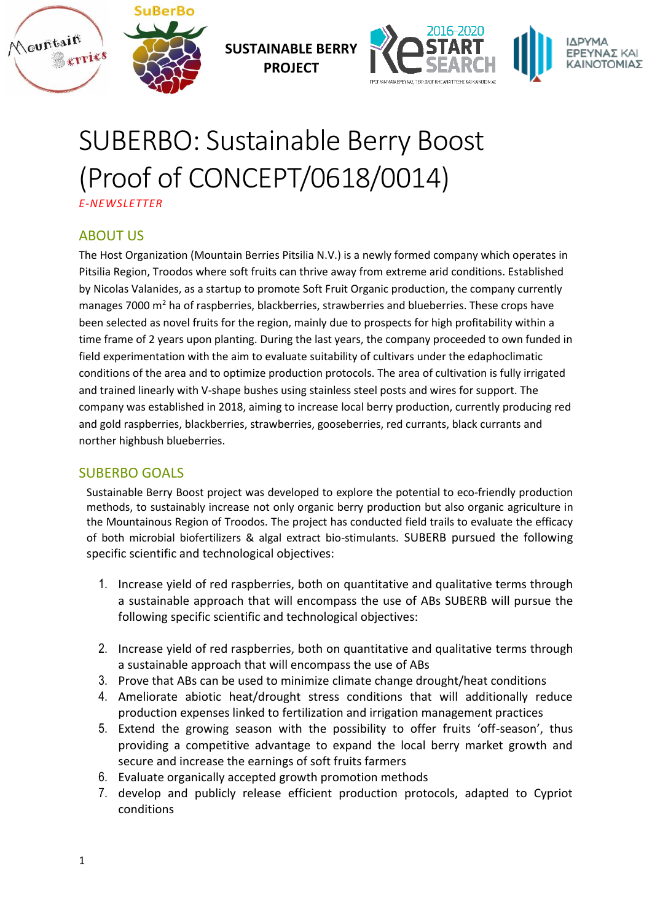





# SUBERBO: Sustainable Berry Boost (Proof of CONCEPT/0618/0014)

*E-NEWSLETTER*

# ABOUT US

The Host Organization (Mountain Berries Pitsilia N.V.) is a newly formed company which operates in Pitsilia Region, Troodos where soft fruits can thrive away from extreme arid conditions. Established by Nicolas Valanides, as a startup to promote Soft Fruit Organic production, the company currently manages 7000 m<sup>2</sup> ha of raspberries, blackberries, strawberries and blueberries. These crops have been selected as novel fruits for the region, mainly due to prospects for high profitability within a time frame of 2 years upon planting. During the last years, the company proceeded to own funded in field experimentation with the aim to evaluate suitability of cultivars under the edaphoclimatic conditions of the area and to optimize production protocols. The area of cultivation is fully irrigated and trained linearly with V-shape bushes using stainless steel posts and wires for support. The company was established in 2018, aiming to increase local berry production, currently producing red and gold raspberries, blackberries, strawberries, gooseberries, red currants, black currants and norther highbush blueberries.

## SUBERBO GOALS

Sustainable Berry Boost project was developed to explore the potential to eco-friendly production methods, to sustainably increase not only organic berry production but also organic agriculture in the Mountainous Region of Troodos. The project has conducted field trails to evaluate the efficacy of both microbial biofertilizers & algal extract bio-stimulants. SUBERB pursued the following specific scientific and technological objectives:

- 1. Increase yield of red raspberries, both on quantitative and qualitative terms through a sustainable approach that will encompass the use of ABs SUBERB will pursue the following specific scientific and technological objectives:
- 2. Increase yield of red raspberries, both on quantitative and qualitative terms through a sustainable approach that will encompass the use of ABs
- 3. Prove that ABs can be used to minimize climate change drought/heat conditions
- 4. Ameliorate abiotic heat/drought stress conditions that will additionally reduce production expenses linked to fertilization and irrigation management practices
- 5. Extend the growing season with the possibility to offer fruits 'off-season', thus providing a competitive advantage to expand the local berry market growth and secure and increase the earnings of soft fruits farmers
- 6. Evaluate organically accepted growth promotion methods
- 7. develop and publicly release efficient production protocols, adapted to Cypriot conditions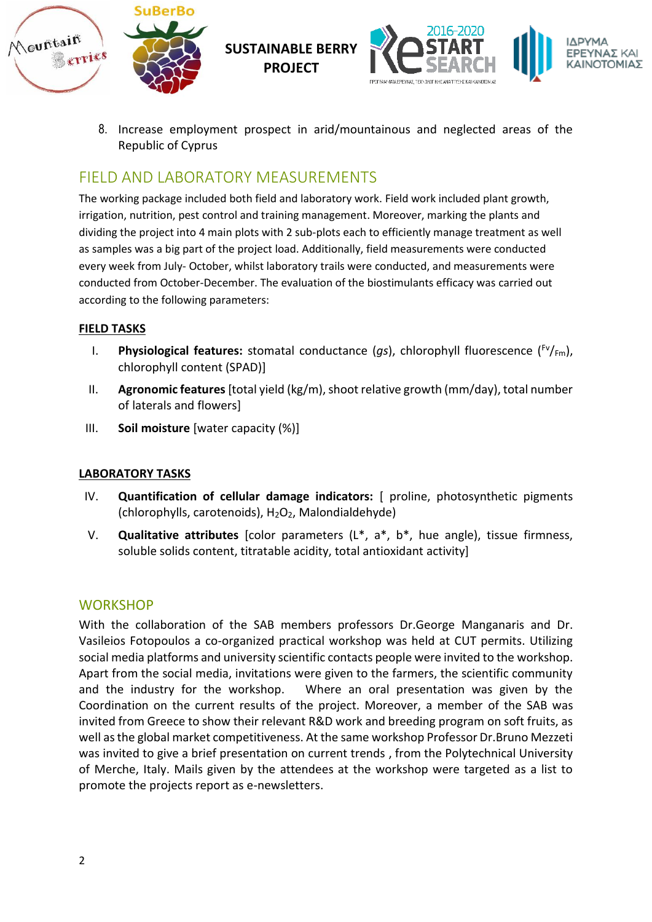





8. Increase employment prospect in arid/mountainous and neglected areas of the Republic of Cyprus

# FIELD AND LABORATORY MEASUREMENTS

The working package included both field and laboratory work. Field work included plant growth, irrigation, nutrition, pest control and training management. Moreover, marking the plants and dividing the project into 4 main plots with 2 sub-plots each to efficiently manage treatment as well as samples was a big part of the project load. Additionally, field measurements were conducted every week from July- October, whilst laboratory trails were conducted, and measurements were conducted from October-December. The evaluation of the biostimulants efficacy was carried out according to the following parameters:

#### **FIELD TASKS**

- I. **Physiological features:** stomatal conductance (*gs*), chlorophyll fluorescence (Fv/Fm), chlorophyll content (SPAD)]
- II. **Agronomic features** [total yield (kg/m), shoot relative growth (mm/day), total number of laterals and flowers]
- III. **Soil moisture** [water capacity (%)]

#### **LABORATORY TASKS**

- IV. **Quantification of cellular damage indicators:** [ proline, photosynthetic pigments (chlorophylls, carotenoids),  $H_2O_2$ , Malondialdehyde)
- V. **Qualitative attributes** [color parameters (L\*, a\*, b\*, hue angle), tissue firmness, soluble solids content, titratable acidity, total antioxidant activity]

#### **WORKSHOP**

With the collaboration of the SAB members professors Dr.George Manganaris and Dr. Vasileios Fotopoulos a co-organized practical workshop was held at CUT permits. Utilizing social media platforms and university scientific contacts people were invited to the workshop. Apart from the social media, invitations were given to the farmers, the scientific community and the industry for the workshop. Where an oral presentation was given by the Coordination on the current results of the project. Moreover, a member of the SAB was invited from Greece to show their relevant R&D work and breeding program on soft fruits, as well as the global market competitiveness. At the same workshop Professor Dr.Bruno Mezzeti was invited to give a brief presentation on current trends , from the Polytechnical University of Merche, Italy. Mails given by the attendees at the workshop were targeted as a list to promote the projects report as e-newsletters.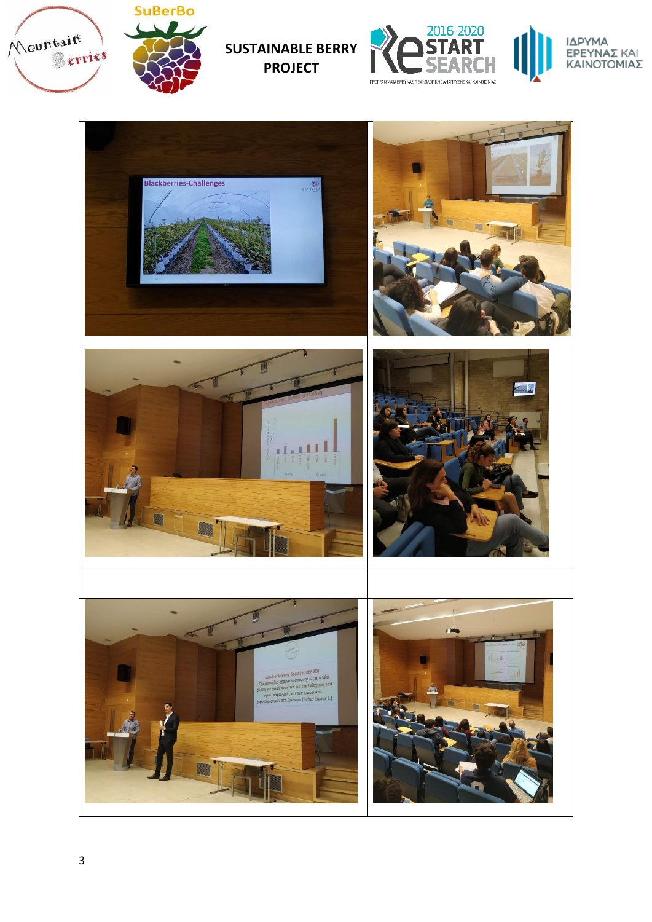







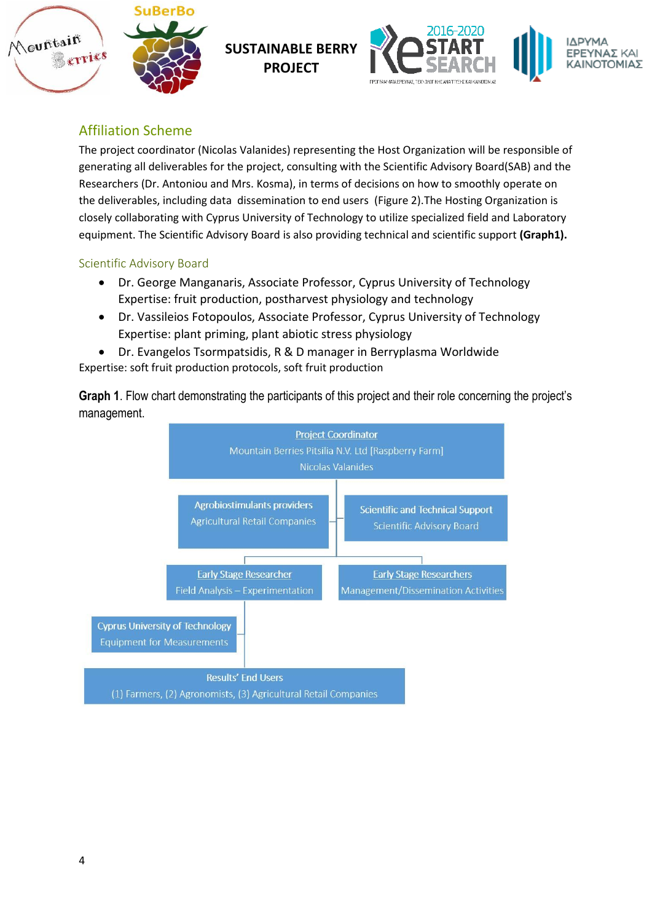







# Affiliation Scheme

The project coordinator (Nicolas Valanides) representing the Host Organization will be responsible of generating all deliverables for the project, consulting with the Scientific Advisory Board(SAB) and the Researchers (Dr. Antoniou and Mrs. Kosma), in terms of decisions on how to smoothly operate on the deliverables, including data dissemination to end users (Figure 2).The Hosting Organization is closely collaborating with Cyprus University of Technology to utilize specialized field and Laboratory equipment. The Scientific Advisory Board is also providing technical and scientific support **(Graph1).**

#### Scientific Advisory Board

- Dr. George Manganaris, Associate Professor, Cyprus University of Technology Expertise: fruit production, postharvest physiology and technology
- Dr. Vassileios Fotopoulos, Associate Professor, Cyprus University of Technology Expertise: plant priming, plant abiotic stress physiology
- Dr. Evangelos Tsormpatsidis, R & D manager in Berryplasma Worldwide Expertise: soft fruit production protocols, soft fruit production

**Graph 1**. Flow chart demonstrating the participants of this project and their role concerning the project's management.

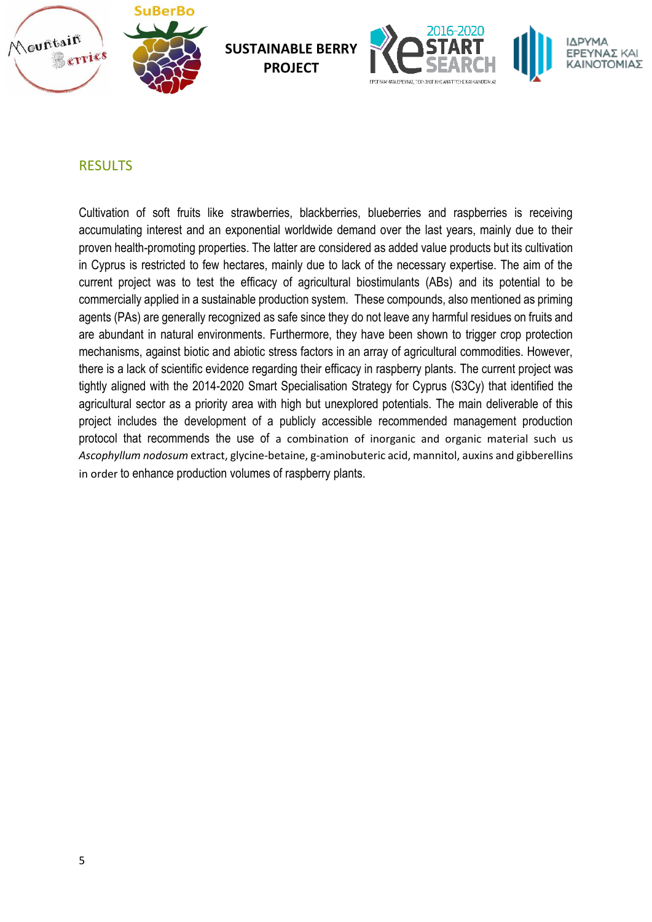







## RESULTS

Cultivation of soft fruits like strawberries, blackberries, blueberries and raspberries is receiving accumulating interest and an exponential worldwide demand over the last years, mainly due to their proven health-promoting properties. The latter are considered as added value products but its cultivation in Cyprus is restricted to few hectares, mainly due to lack of the necessary expertise. The aim of the current project was to test the efficacy of agricultural biostimulants (ABs) and its potential to be commercially applied in a sustainable production system. These compounds, also mentioned as priming agents (PAs) are generally recognized as safe since they do not leave any harmful residues on fruits and are abundant in natural environments. Furthermore, they have been shown to trigger crop protection mechanisms, against biotic and abiotic stress factors in an array of agricultural commodities. However, there is a lack of scientific evidence regarding their efficacy in raspberry plants. The current project was tightly aligned with the 2014-2020 Smart Specialisation Strategy for Cyprus (S3Cy) that identified the agricultural sector as a priority area with high but unexplored potentials. The main deliverable of this project includes the development of a publicly accessible recommended management production protocol that recommends the use of a combination of inorganic and organic material such us *Ascophyllum nodosum* extract, glycine-betaine, g-aminobuteric acid, mannitol, auxins and gibberellins in order to enhance production volumes of raspberry plants.